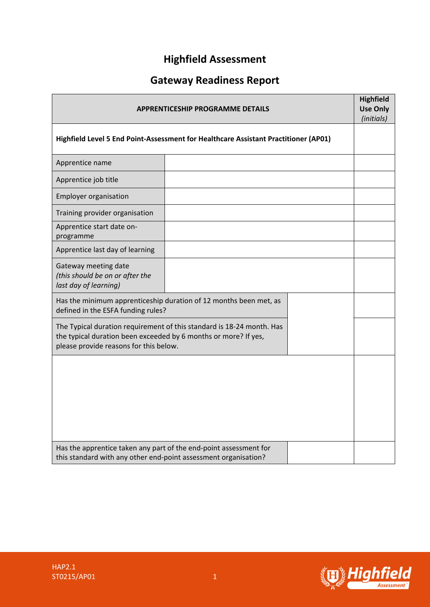# **Highfield Assessment**

# **Gateway Readiness Report**

| <b>APPRENTICESHIP PROGRAMME DETAILS</b>                                                                                                                                            |                                                                   |  | <b>Highfield</b><br><b>Use Only</b><br>(initials) |
|------------------------------------------------------------------------------------------------------------------------------------------------------------------------------------|-------------------------------------------------------------------|--|---------------------------------------------------|
| Highfield Level 5 End Point-Assessment for Healthcare Assistant Practitioner (AP01)                                                                                                |                                                                   |  |                                                   |
| Apprentice name                                                                                                                                                                    |                                                                   |  |                                                   |
| Apprentice job title                                                                                                                                                               |                                                                   |  |                                                   |
| <b>Employer organisation</b>                                                                                                                                                       |                                                                   |  |                                                   |
| Training provider organisation                                                                                                                                                     |                                                                   |  |                                                   |
| Apprentice start date on-<br>programme                                                                                                                                             |                                                                   |  |                                                   |
| Apprentice last day of learning                                                                                                                                                    |                                                                   |  |                                                   |
| Gateway meeting date<br>(this should be on or after the<br>last day of learning)                                                                                                   |                                                                   |  |                                                   |
| defined in the ESFA funding rules?                                                                                                                                                 | Has the minimum apprenticeship duration of 12 months been met, as |  |                                                   |
| The Typical duration requirement of this standard is 18-24 month. Has<br>the typical duration been exceeded by 6 months or more? If yes,<br>please provide reasons for this below. |                                                                   |  |                                                   |
|                                                                                                                                                                                    |                                                                   |  |                                                   |
| Has the apprentice taken any part of the end-point assessment for<br>this standard with any other end-point assessment organisation?                                               |                                                                   |  |                                                   |

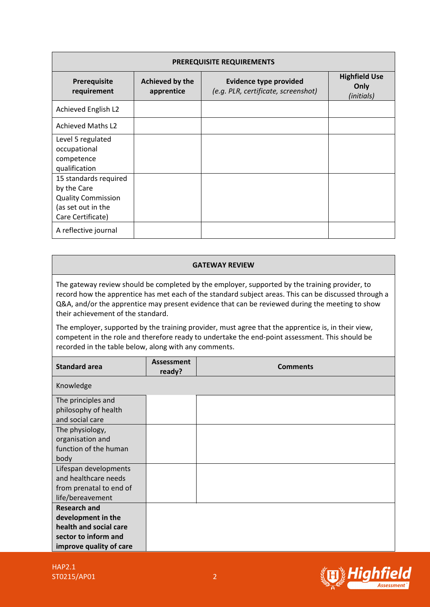| PREREQUISITE REQUIREMENTS   |                               |                                                                      |                                            |  |  |
|-----------------------------|-------------------------------|----------------------------------------------------------------------|--------------------------------------------|--|--|
| Prerequisite<br>requirement | Achieved by the<br>apprentice | <b>Evidence type provided</b><br>(e.g. PLR, certificate, screenshot) | <b>Highfield Use</b><br>Only<br>(initials) |  |  |
| Achieved English L2         |                               |                                                                      |                                            |  |  |
| <b>Achieved Maths L2</b>    |                               |                                                                      |                                            |  |  |
| Level 5 regulated           |                               |                                                                      |                                            |  |  |
| occupational                |                               |                                                                      |                                            |  |  |
| competence                  |                               |                                                                      |                                            |  |  |
| qualification               |                               |                                                                      |                                            |  |  |
| 15 standards required       |                               |                                                                      |                                            |  |  |
| by the Care                 |                               |                                                                      |                                            |  |  |
| <b>Quality Commission</b>   |                               |                                                                      |                                            |  |  |
| (as set out in the          |                               |                                                                      |                                            |  |  |
| Care Certificate)           |                               |                                                                      |                                            |  |  |
| A reflective journal        |                               |                                                                      |                                            |  |  |

#### **GATEWAY REVIEW**

The gateway review should be completed by the employer, supported by the training provider, to record how the apprentice has met each of the standard subject areas. This can be discussed through a Q&A, and/or the apprentice may present evidence that can be reviewed during the meeting to show their achievement of the standard.

The employer, supported by the training provider, must agree that the apprentice is, in their view, competent in the role and therefore ready to undertake the end-point assessment. This should be recorded in the table below, along with any comments.

| <b>Standard area</b>                                                                                                   | <b>Assessment</b><br>ready? | <b>Comments</b> |
|------------------------------------------------------------------------------------------------------------------------|-----------------------------|-----------------|
| Knowledge                                                                                                              |                             |                 |
| The principles and<br>philosophy of health<br>and social care                                                          |                             |                 |
| The physiology,<br>organisation and<br>function of the human<br>body                                                   |                             |                 |
| Lifespan developments<br>and healthcare needs<br>from prenatal to end of<br>life/bereavement                           |                             |                 |
| <b>Research and</b><br>development in the<br>health and social care<br>sector to inform and<br>improve quality of care |                             |                 |

HAP2.1 ST0215/AP01 2

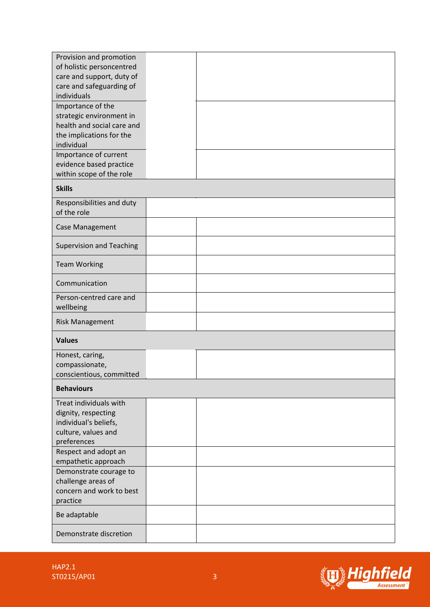| Provision and promotion         |  |
|---------------------------------|--|
| of holistic personcentred       |  |
| care and support, duty of       |  |
| care and safeguarding of        |  |
| individuals                     |  |
| Importance of the               |  |
|                                 |  |
| strategic environment in        |  |
| health and social care and      |  |
| the implications for the        |  |
| individual                      |  |
| Importance of current           |  |
| evidence based practice         |  |
| within scope of the role        |  |
| <b>Skills</b>                   |  |
|                                 |  |
| Responsibilities and duty       |  |
| of the role                     |  |
|                                 |  |
| Case Management                 |  |
| <b>Supervision and Teaching</b> |  |
|                                 |  |
| <b>Team Working</b>             |  |
|                                 |  |
| Communication                   |  |
|                                 |  |
| Person-centred care and         |  |
| wellbeing                       |  |
| <b>Risk Management</b>          |  |
|                                 |  |
| <b>Values</b>                   |  |
| Honest, caring,                 |  |
| compassionate,                  |  |
| conscientious, committed        |  |
|                                 |  |
| <b>Behaviours</b>               |  |
| Treat individuals with          |  |
| dignity, respecting             |  |
| individual's beliefs,           |  |
|                                 |  |
| culture, values and             |  |
| preferences                     |  |
| Respect and adopt an            |  |
| empathetic approach             |  |
| Demonstrate courage to          |  |
| challenge areas of              |  |
| concern and work to best        |  |
| practice                        |  |
|                                 |  |
| Be adaptable                    |  |
| Demonstrate discretion          |  |
|                                 |  |

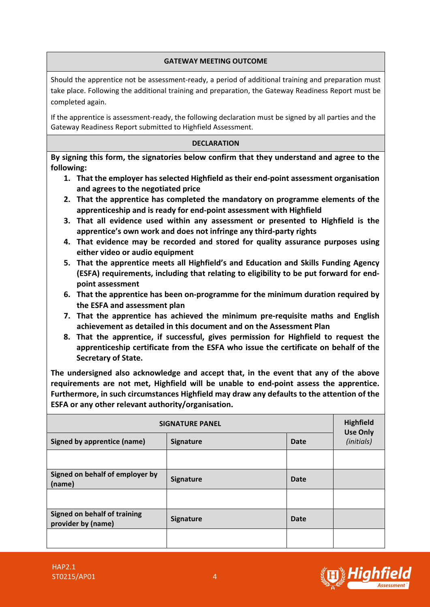### **GATEWAY MEETING OUTCOME**

Should the apprentice not be assessment-ready, a period of additional training and preparation must take place. Following the additional training and preparation, the Gateway Readiness Report must be completed again.

If the apprentice is assessment-ready, the following declaration must be signed by all parties and the Gateway Readiness Report submitted to Highfield Assessment.

### **DECLARATION**

**By signing this form, the signatories below confirm that they understand and agree to the following:**

- **1. That the employer has selected Highfield as their end-point assessment organisation and agrees to the negotiated price**
- **2. That the apprentice has completed the mandatory on programme elements of the apprenticeship and is ready for end-point assessment with Highfield**
- **3. That all evidence used within any assessment or presented to Highfield is the apprentice's own work and does not infringe any third-party rights**
- **4. That evidence may be recorded and stored for quality assurance purposes using either video or audio equipment**
- **5. That the apprentice meets all Highfield's and Education and Skills Funding Agency (ESFA) requirements, including that relating to eligibility to be put forward for endpoint assessment**
- **6. That the apprentice has been on-programme for the minimum duration required by the ESFA and assessment plan**
- **7. That the apprentice has achieved the minimum pre-requisite maths and English achievement as detailed in this document and on the Assessment Plan**
- **8. That the apprentice, if successful, gives permission for Highfield to request the apprenticeship certificate from the ESFA who issue the certificate on behalf of the Secretary of State.**

**The undersigned also acknowledge and accept that, in the event that any of the above requirements are not met, Highfield will be unable to end-point assess the apprentice. Furthermore, in such circumstances Highfield may draw any defaults to the attention of the ESFA or any other relevant authority/organisation.**

| <b>SIGNATURE PANEL</b>                                    |                  |                               |  |
|-----------------------------------------------------------|------------------|-------------------------------|--|
| <b>Signed by apprentice (name)</b>                        | <b>Signature</b> | <b>Use Only</b><br>(initials) |  |
|                                                           |                  |                               |  |
| Signed on behalf of employer by<br>(name)                 | <b>Signature</b> | Date                          |  |
|                                                           |                  |                               |  |
| <b>Signed on behalf of training</b><br>provider by (name) | <b>Signature</b> | Date                          |  |
|                                                           |                  |                               |  |